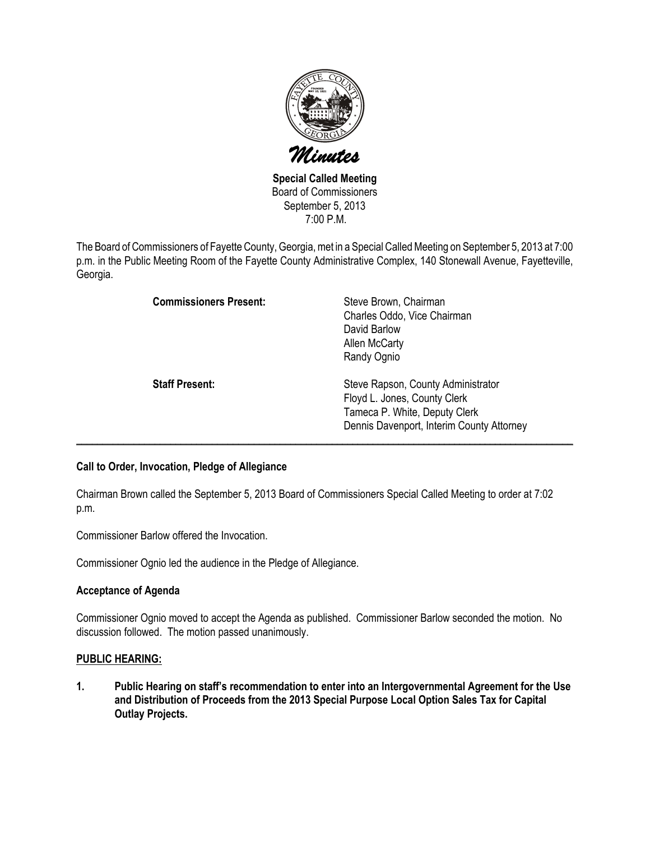

Special Called Meeting Board of Commissioners September 5, 2013 7:00 P.M.

The Board of Commissioners of Fayette County, Georgia, met in a Special Called Meeting on September 5, 2013 at 7:00 p.m. in the Public Meeting Room of the Fayette County Administrative Complex, 140 Stonewall Avenue, Fayetteville, Georgia.

| <b>Commissioners Present:</b> | Steve Brown, Chairman<br>Charles Oddo, Vice Chairman<br>David Barlow<br><b>Allen McCarty</b><br>Randy Ognio                                      |
|-------------------------------|--------------------------------------------------------------------------------------------------------------------------------------------------|
| <b>Staff Present:</b>         | Steve Rapson, County Administrator<br>Floyd L. Jones, County Clerk<br>Tameca P. White, Deputy Clerk<br>Dennis Davenport, Interim County Attorney |

# Call to Order, Invocation, Pledge of Allegiance

Chairman Brown called the September 5, 2013 Board of Commissioners Special Called Meeting to order at 7:02 p.m.

Commissioner Barlow offered the Invocation.

Commissioner Ognio led the audience in the Pledge of Allegiance.

### Acceptance of Agenda

Commissioner Ognio moved to accept the Agenda as published. Commissioner Barlow seconded the motion. No discussion followed. The motion passed unanimously.

### PUBLIC HEARING:

1. Public Hearing on staff's recommendation to enter into an Intergovernmental Agreement for the Use and Distribution of Proceeds from the 2013 Special Purpose Local Option Sales Tax for Capital Outlay Projects.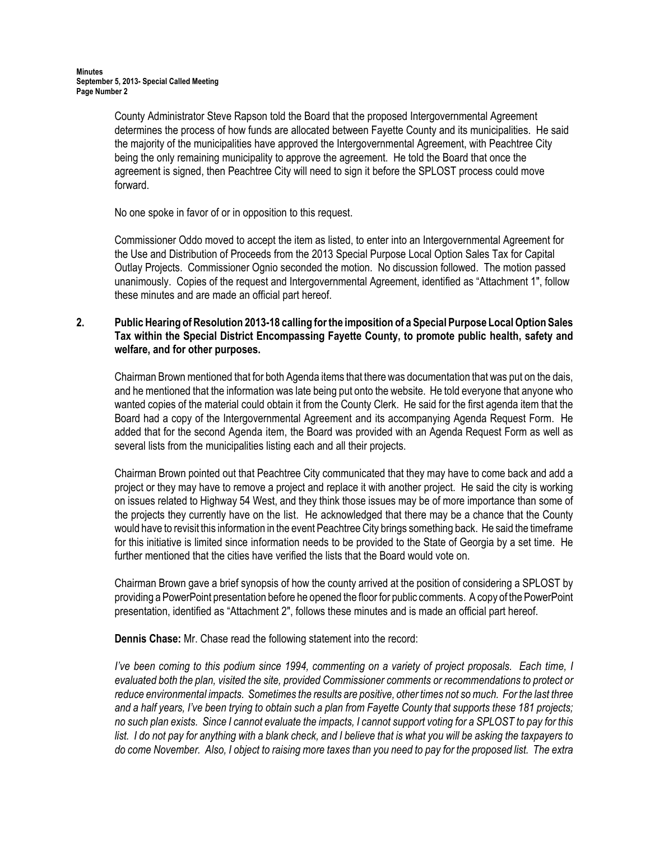County Administrator Steve Rapson told the Board that the proposed Intergovernmental Agreement determines the process of how funds are allocated between Fayette County and its municipalities. He said the majority of the municipalities have approved the Intergovernmental Agreement, with Peachtree City being the only remaining municipality to approve the agreement. He told the Board that once the agreement is signed, then Peachtree City will need to sign it before the SPLOST process could move forward.

No one spoke in favor of or in opposition to this request.

Commissioner Oddo moved to accept the item as listed, to enter into an Intergovernmental Agreement for the Use and Distribution of Proceeds from the 2013 Special Purpose Local Option Sales Tax for Capital Outlay Projects. Commissioner Ognio seconded the motion. No discussion followed. The motion passed unanimously. Copies of the request and Intergovernmental Agreement, identified as "Attachment 1", follow these minutes and are made an official part hereof.

### 2. Public Hearing of Resolution 2013-18 calling for the imposition of a Special Purpose Local Option Sales Tax within the Special District Encompassing Fayette County, to promote public health, safety and welfare, and for other purposes.

Chairman Brown mentioned that for both Agenda items that there was documentation that was put on the dais, and he mentioned that the information was late being put onto the website. He told everyone that anyone who wanted copies of the material could obtain it from the County Clerk. He said for the first agenda item that the Board had a copy of the Intergovernmental Agreement and its accompanying Agenda Request Form. He added that for the second Agenda item, the Board was provided with an Agenda Request Form as well as several lists from the municipalities listing each and all their projects.

Chairman Brown pointed out that Peachtree City communicated that they may have to come back and add a project or they may have to remove a project and replace it with another project. He said the city is working on issues related to Highway 54 West, and they think those issues may be of more importance than some of the projects they currently have on the list. He acknowledged that there may be a chance that the County would have to revisit this information in the event Peachtree City brings something back. He said the timeframe for this initiative is limited since information needs to be provided to the State of Georgia by a set time. He further mentioned that the cities have verified the lists that the Board would vote on.

Chairman Brown gave a brief synopsis of how the county arrived at the position of considering a SPLOST by providing a PowerPoint presentation before he opened the floor for public comments. A copy of the PowerPoint presentation, identified as "Attachment 2", follows these minutes and is made an official part hereof.

Dennis Chase: Mr. Chase read the following statement into the record:

I've been coming to this podium since 1994, commenting on a variety of project proposals. Each time, I evaluated both the plan, visited the site, provided Commissioner comments or recommendations to protect or reduce environmental impacts. Sometimes the results are positive, other times not so much. For the last three and a half years, I've been trying to obtain such a plan from Fayette County that supports these 181 projects; no such plan exists. Since I cannot evaluate the impacts, I cannot support voting for a SPLOST to pay for this list. I do not pay for anything with a blank check, and I believe that is what you will be asking the taxpayers to do come November. Also, I object to raising more taxes than you need to pay for the proposed list. The extra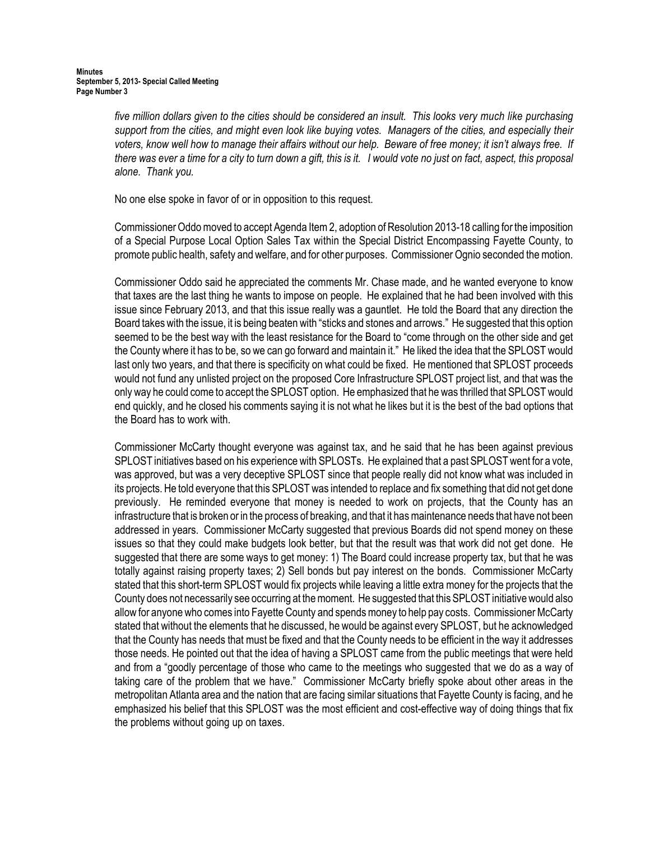five million dollars given to the cities should be considered an insult. This looks very much like purchasing support from the cities, and might even look like buying votes. Managers of the cities, and especially their voters, know well how to manage their affairs without our help. Beware of free money; it isn't always free. If there was ever a time for a city to turn down a gift, this is it. I would vote no just on fact, aspect, this proposal alone. Thank you.

No one else spoke in favor of or in opposition to this request.

Commissioner Oddo moved to accept Agenda Item 2, adoption of Resolution 2013-18 calling for the imposition of a Special Purpose Local Option Sales Tax within the Special District Encompassing Fayette County, to promote public health, safety and welfare, and for other purposes. Commissioner Ognio seconded the motion.

Commissioner Oddo said he appreciated the comments Mr. Chase made, and he wanted everyone to know that taxes are the last thing he wants to impose on people. He explained that he had been involved with this issue since February 2013, and that this issue really was a gauntlet. He told the Board that any direction the Board takes with the issue, it is being beaten with "sticks and stones and arrows." He suggested that this option seemed to be the best way with the least resistance for the Board to "come through on the other side and get the County where it has to be, so we can go forward and maintain it." He liked the idea that the SPLOST would last only two years, and that there is specificity on what could be fixed. He mentioned that SPLOST proceeds would not fund any unlisted project on the proposed Core Infrastructure SPLOST project list, and that was the only way he could come to accept the SPLOST option. He emphasized that he was thrilled that SPLOST would end quickly, and he closed his comments saying it is not what he likes but it is the best of the bad options that the Board has to work with.

Commissioner McCarty thought everyone was against tax, and he said that he has been against previous SPLOST initiatives based on his experience with SPLOSTs. He explained that a past SPLOST went for a vote, was approved, but was a very deceptive SPLOST since that people really did not know what was included in its projects. He told everyone that this SPLOST was intended to replace and fix something that did not get done previously. He reminded everyone that money is needed to work on projects, that the County has an infrastructure that is broken or in the process of breaking, and that it has maintenance needs that have not been addressed in years. Commissioner McCarty suggested that previous Boards did not spend money on these issues so that they could make budgets look better, but that the result was that work did not get done. He suggested that there are some ways to get money: 1) The Board could increase property tax, but that he was totally against raising property taxes; 2) Sell bonds but pay interest on the bonds. Commissioner McCarty stated that this short-term SPLOST would fix projects while leaving a little extra money for the projects that the County does not necessarily see occurring at the moment. He suggested that this SPLOST initiative would also allow for anyone who comes into Fayette County and spends money to help pay costs. Commissioner McCarty stated that without the elements that he discussed, he would be against every SPLOST, but he acknowledged that the County has needs that must be fixed and that the County needs to be efficient in the way it addresses those needs. He pointed out that the idea of having a SPLOST came from the public meetings that were held and from a "goodly percentage of those who came to the meetings who suggested that we do as a way of taking care of the problem that we have." Commissioner McCarty briefly spoke about other areas in the metropolitan Atlanta area and the nation that are facing similar situations that Fayette County is facing, and he emphasized his belief that this SPLOST was the most efficient and cost-effective way of doing things that fix the problems without going up on taxes.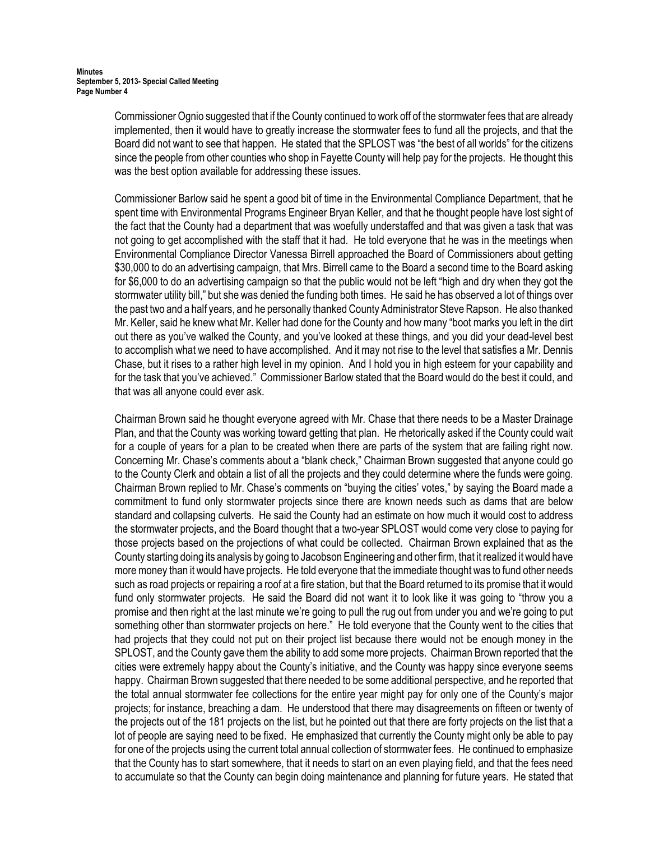Commissioner Ognio suggested that if the County continued to work off of the stormwater fees that are already implemented, then it would have to greatly increase the stormwater fees to fund all the projects, and that the Board did not want to see that happen. He stated that the SPLOST was "the best of all worlds" for the citizens since the people from other counties who shop in Fayette County will help pay for the projects. He thought this was the best option available for addressing these issues.

Commissioner Barlow said he spent a good bit of time in the Environmental Compliance Department, that he spent time with Environmental Programs Engineer Bryan Keller, and that he thought people have lost sight of the fact that the County had a department that was woefully understaffed and that was given a task that was not going to get accomplished with the staff that it had. He told everyone that he was in the meetings when Environmental Compliance Director Vanessa Birrell approached the Board of Commissioners about getting \$30,000 to do an advertising campaign, that Mrs. Birrell came to the Board a second time to the Board asking for \$6,000 to do an advertising campaign so that the public would not be left "high and dry when they got the stormwater utility bill," but she was denied the funding both times. He said he has observed a lot of things over the past two and a half years, and he personally thanked County Administrator Steve Rapson. He also thanked Mr. Keller, said he knew what Mr. Keller had done for the County and how many "boot marks you left in the dirt out there as you've walked the County, and you've looked at these things, and you did your dead-level best to accomplish what we need to have accomplished. And it may not rise to the level that satisfies a Mr. Dennis Chase, but it rises to a rather high level in my opinion. And I hold you in high esteem for your capability and for the task that you've achieved." Commissioner Barlow stated that the Board would do the best it could, and that was all anyone could ever ask.

Chairman Brown said he thought everyone agreed with Mr. Chase that there needs to be a Master Drainage Plan, and that the County was working toward getting that plan. He rhetorically asked if the County could wait for a couple of years for a plan to be created when there are parts of the system that are failing right now. Concerning Mr. Chase's comments about a "blank check," Chairman Brown suggested that anyone could go to the County Clerk and obtain a list of all the projects and they could determine where the funds were going. Chairman Brown replied to Mr. Chase's comments on "buying the cities' votes," by saying the Board made a commitment to fund only stormwater projects since there are known needs such as dams that are below standard and collapsing culverts. He said the County had an estimate on how much it would cost to address the stormwater projects, and the Board thought that a two-year SPLOST would come very close to paying for those projects based on the projections of what could be collected. Chairman Brown explained that as the County starting doing its analysis by going to Jacobson Engineering and other firm, that it realized it would have more money than it would have projects. He told everyone that the immediate thought was to fund other needs such as road projects or repairing a roof at a fire station, but that the Board returned to its promise that it would fund only stormwater projects. He said the Board did not want it to look like it was going to "throw you a promise and then right at the last minute we're going to pull the rug out from under you and we're going to put something other than stormwater projects on here." He told everyone that the County went to the cities that had projects that they could not put on their project list because there would not be enough money in the SPLOST, and the County gave them the ability to add some more projects. Chairman Brown reported that the cities were extremely happy about the County's initiative, and the County was happy since everyone seems happy. Chairman Brown suggested that there needed to be some additional perspective, and he reported that the total annual stormwater fee collections for the entire year might pay for only one of the County's major projects; for instance, breaching a dam. He understood that there may disagreements on fifteen or twenty of the projects out of the 181 projects on the list, but he pointed out that there are forty projects on the list that a lot of people are saying need to be fixed. He emphasized that currently the County might only be able to pay for one of the projects using the current total annual collection of stormwater fees. He continued to emphasize that the County has to start somewhere, that it needs to start on an even playing field, and that the fees need to accumulate so that the County can begin doing maintenance and planning for future years. He stated that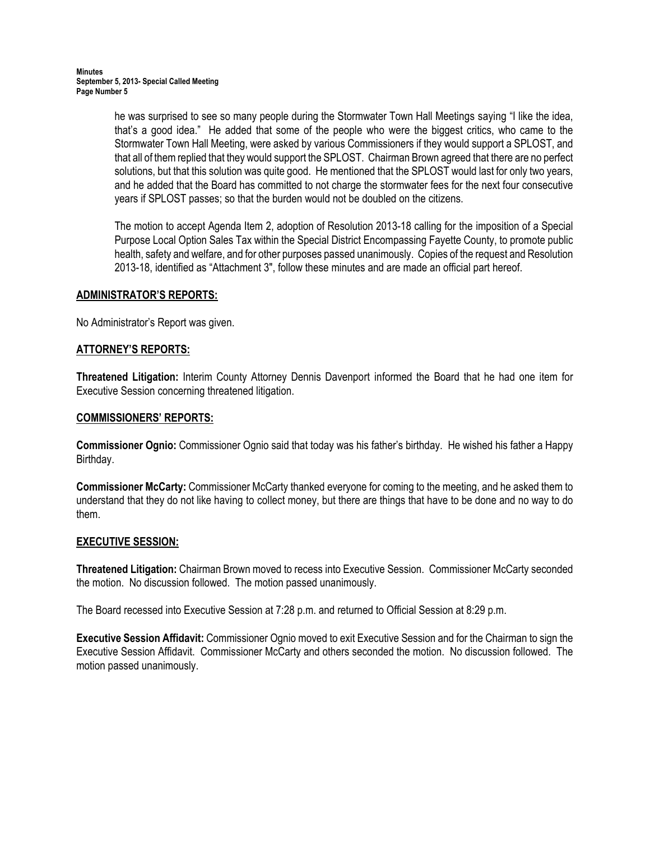he was surprised to see so many people during the Stormwater Town Hall Meetings saying "I like the idea, that's a good idea." He added that some of the people who were the biggest critics, who came to the Stormwater Town Hall Meeting, were asked by various Commissioners if they would support a SPLOST, and that all of them replied that they would support the SPLOST. Chairman Brown agreed that there are no perfect solutions, but that this solution was quite good. He mentioned that the SPLOST would last for only two years, and he added that the Board has committed to not charge the stormwater fees for the next four consecutive years if SPLOST passes; so that the burden would not be doubled on the citizens.

The motion to accept Agenda Item 2, adoption of Resolution 2013-18 calling for the imposition of a Special Purpose Local Option Sales Tax within the Special District Encompassing Fayette County, to promote public health, safety and welfare, and for other purposes passed unanimously. Copies of the request and Resolution 2013-18, identified as "Attachment 3", follow these minutes and are made an official part hereof.

# ADMINISTRATOR'S REPORTS:

No Administrator's Report was given.

### ATTORNEY'S REPORTS:

Threatened Litigation: Interim County Attorney Dennis Davenport informed the Board that he had one item for Executive Session concerning threatened litigation.

### COMMISSIONERS' REPORTS:

Commissioner Ognio: Commissioner Ognio said that today was his father's birthday. He wished his father a Happy Birthday.

Commissioner McCarty: Commissioner McCarty thanked everyone for coming to the meeting, and he asked them to understand that they do not like having to collect money, but there are things that have to be done and no way to do them.

### EXECUTIVE SESSION:

Threatened Litigation: Chairman Brown moved to recess into Executive Session. Commissioner McCarty seconded the motion. No discussion followed. The motion passed unanimously.

The Board recessed into Executive Session at 7:28 p.m. and returned to Official Session at 8:29 p.m.

Executive Session Affidavit: Commissioner Ognio moved to exit Executive Session and for the Chairman to sign the Executive Session Affidavit. Commissioner McCarty and others seconded the motion. No discussion followed. The motion passed unanimously.